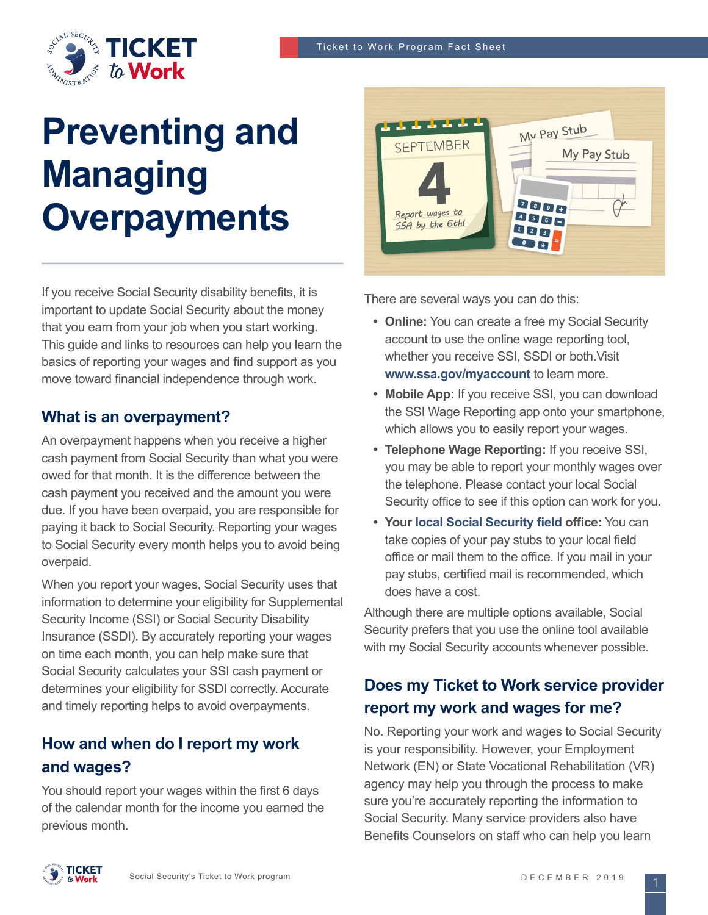

# **Preventing and Managing Overpayments**

If you receive Social Security disability benefits, it is important to update Social Security about the money that you earn from your job when you start working. This guide and links to resources can help you learn the basics of reporting your wages and find support as you move toward financial independence through work.

## **What is an overpayment?**

An overpayment happens when you receive a higher cash payment from Social Security than what you were owed for that month. It is the difference between the cash payment you received and the amount you were due. If you have been overpaid, you are responsible for paying it back to Social Security. Reporting your wages to Social Security every month helps you to avoid being overpaid.

When you report your wages, Social Security uses that information to determine your eligibility for Supplemental Security Income (SSI) or Social Security Disability Insurance (SSDI). By accurately reporting your wages on time each month, you can help make sure that Social Security calculates your SSI cash payment or determines your eligibility for SSDI correctly. Accurate and timely reporting helps to avoid overpayments.

## **How and when do I report my work and wages?**

You should report your wages within the first 6 days of the calendar month for the income you earned the previous month.



There are several ways you can do this:

- **• Online:** You can create a free my Social Security account to use the online wage reporting tool, whether you receive SSI, SSDI or both.Visit **[www.ssa.gov/myaccount](https://www.ssa.gov/myaccount/)** to learn more.
- **• Mobile App:** If you receive SSI, you can download the SSI Wage Reporting app onto your smartphone, which allows you to easily report your wages.
- **• Telephone Wage Reporting:** If you receive SSI, you may be able to report your monthly wages over the telephone. Please contact your local Social Security office to see if this option can work for you.
- **• Your [local Social Security field](https://secure.ssa.gov/ICON/main.jsp) office:** You can take copies of your pay stubs to your local field office or mail them to the office. If you mail in your pay stubs, certified mail is recommended, which does have a cost.

Although there are multiple options available, Social Security prefers that you use the online tool available with my Social Security accounts whenever possible.

# **Does my Ticket to Work service provider report my work and wages for me?**

No. Reporting your work and wages to Social Security is your responsibility. However, your Employment Network (EN) or State Vocational Rehabilitation (VR) agency may help you through the process to make sure you're accurately reporting the information to Social Security. Many service providers also have Benefits Counselors on staff who can help you learn